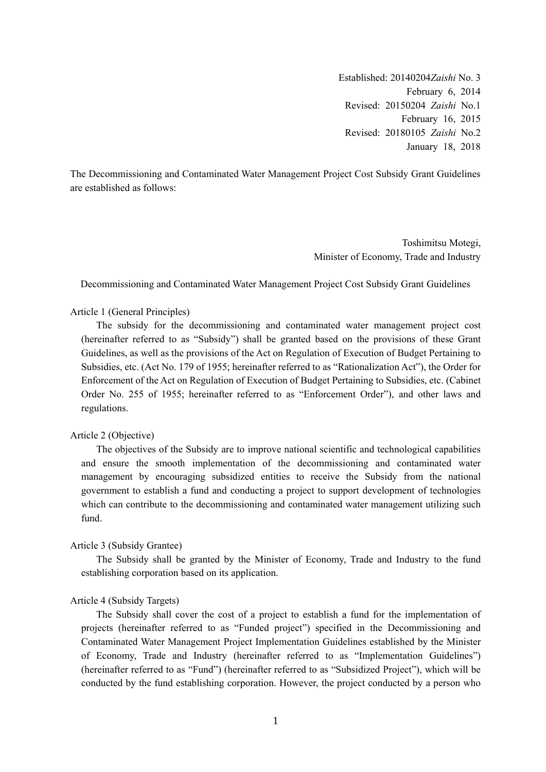Established: 20140204*Zaishi* No. 3 February 6, 2014 Revised: 20150204 *Zaishi* No.1 February 16, 2015 Revised: 20180105 *Zaishi* No.2 January 18, 2018

The Decommissioning and Contaminated Water Management Project Cost Subsidy Grant Guidelines are established as follows:

> Toshimitsu Motegi, Minister of Economy, Trade and Industry

Decommissioning and Contaminated Water Management Project Cost Subsidy Grant Guidelines

### Article 1 (General Principles)

The subsidy for the decommissioning and contaminated water management project cost (hereinafter referred to as "Subsidy") shall be granted based on the provisions of these Grant Guidelines, as well as the provisions of the Act on Regulation of Execution of Budget Pertaining to Subsidies, etc. (Act No. 179 of 1955; hereinafter referred to as "Rationalization Act"), the Order for Enforcement of the Act on Regulation of Execution of Budget Pertaining to Subsidies, etc. (Cabinet Order No. 255 of 1955; hereinafter referred to as "Enforcement Order"), and other laws and regulations.

#### Article 2 (Objective)

The objectives of the Subsidy are to improve national scientific and technological capabilities and ensure the smooth implementation of the decommissioning and contaminated water management by encouraging subsidized entities to receive the Subsidy from the national government to establish a fund and conducting a project to support development of technologies which can contribute to the decommissioning and contaminated water management utilizing such fund.

### Article 3 (Subsidy Grantee)

The Subsidy shall be granted by the Minister of Economy, Trade and Industry to the fund establishing corporation based on its application.

### Article 4 (Subsidy Targets)

The Subsidy shall cover the cost of a project to establish a fund for the implementation of projects (hereinafter referred to as "Funded project") specified in the Decommissioning and Contaminated Water Management Project Implementation Guidelines established by the Minister of Economy, Trade and Industry (hereinafter referred to as "Implementation Guidelines") (hereinafter referred to as "Fund") (hereinafter referred to as "Subsidized Project"), which will be conducted by the fund establishing corporation. However, the project conducted by a person who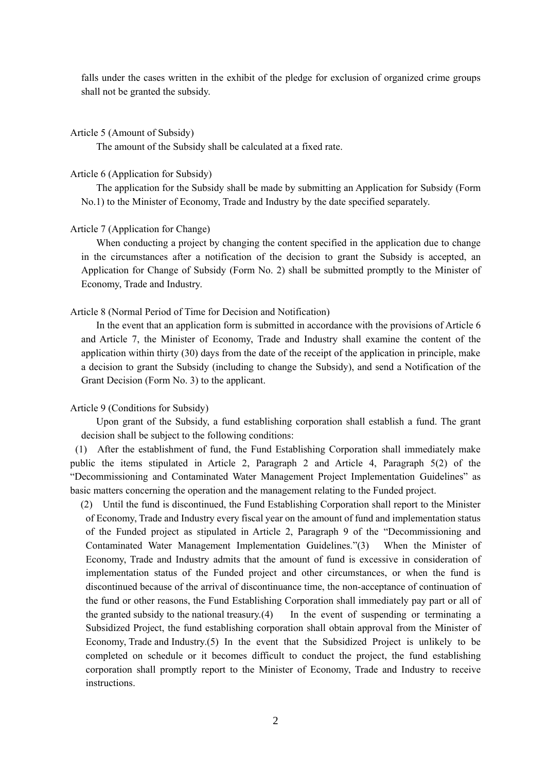falls under the cases written in the exhibit of the pledge for exclusion of organized crime groups shall not be granted the subsidy.

#### Article 5 (Amount of Subsidy)

The amount of the Subsidy shall be calculated at a fixed rate.

#### Article 6 (Application for Subsidy)

The application for the Subsidy shall be made by submitting an Application for Subsidy (Form No.1) to the Minister of Economy, Trade and Industry by the date specified separately.

#### Article 7 (Application for Change)

When conducting a project by changing the content specified in the application due to change in the circumstances after a notification of the decision to grant the Subsidy is accepted, an Application for Change of Subsidy (Form No. 2) shall be submitted promptly to the Minister of Economy, Trade and Industry.

#### Article 8 (Normal Period of Time for Decision and Notification)

In the event that an application form is submitted in accordance with the provisions of Article 6 and Article 7, the Minister of Economy, Trade and Industry shall examine the content of the application within thirty (30) days from the date of the receipt of the application in principle, make a decision to grant the Subsidy (including to change the Subsidy), and send a Notification of the Grant Decision (Form No. 3) to the applicant.

### Article 9 (Conditions for Subsidy)

Upon grant of the Subsidy, a fund establishing corporation shall establish a fund. The grant decision shall be subject to the following conditions:

(1) After the establishment of fund, the Fund Establishing Corporation shall immediately make public the items stipulated in Article 2, Paragraph 2 and Article 4, Paragraph 5(2) of the "Decommissioning and Contaminated Water Management Project Implementation Guidelines" as basic matters concerning the operation and the management relating to the Funded project.

(2) Until the fund is discontinued, the Fund Establishing Corporation shall report to the Minister of Economy, Trade and Industry every fiscal year on the amount of fund and implementation status of the Funded project as stipulated in Article 2, Paragraph 9 of the "Decommissioning and Contaminated Water Management Implementation Guidelines."(3) When the Minister of Economy, Trade and Industry admits that the amount of fund is excessive in consideration of implementation status of the Funded project and other circumstances, or when the fund is discontinued because of the arrival of discontinuance time, the non-acceptance of continuation of the fund or other reasons, the Fund Establishing Corporation shall immediately pay part or all of the granted subsidy to the national treasury. $(4)$  In the event of suspending or terminating a Subsidized Project, the fund establishing corporation shall obtain approval from the Minister of Economy, Trade and Industry.(5) In the event that the Subsidized Project is unlikely to be completed on schedule or it becomes difficult to conduct the project, the fund establishing corporation shall promptly report to the Minister of Economy, Trade and Industry to receive instructions.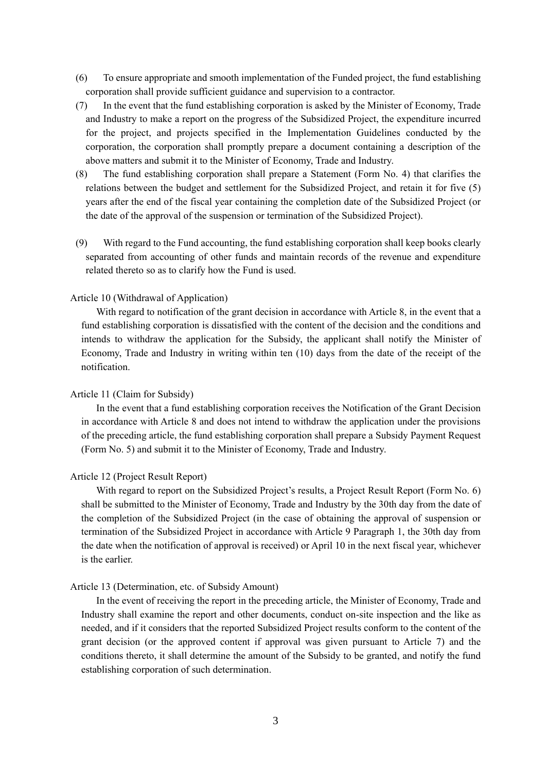- (6) To ensure appropriate and smooth implementation of the Funded project, the fund establishing corporation shall provide sufficient guidance and supervision to a contractor.
- (7) In the event that the fund establishing corporation is asked by the Minister of Economy, Trade and Industry to make a report on the progress of the Subsidized Project, the expenditure incurred for the project, and projects specified in the Implementation Guidelines conducted by the corporation, the corporation shall promptly prepare a document containing a description of the above matters and submit it to the Minister of Economy, Trade and Industry.
- (8) The fund establishing corporation shall prepare a Statement (Form No. 4) that clarifies the relations between the budget and settlement for the Subsidized Project, and retain it for five (5) years after the end of the fiscal year containing the completion date of the Subsidized Project (or the date of the approval of the suspension or termination of the Subsidized Project).
- (9) With regard to the Fund accounting, the fund establishing corporation shall keep books clearly separated from accounting of other funds and maintain records of the revenue and expenditure related thereto so as to clarify how the Fund is used.

### Article 10 (Withdrawal of Application)

With regard to notification of the grant decision in accordance with Article 8, in the event that a fund establishing corporation is dissatisfied with the content of the decision and the conditions and intends to withdraw the application for the Subsidy, the applicant shall notify the Minister of Economy, Trade and Industry in writing within ten (10) days from the date of the receipt of the notification.

#### Article 11 (Claim for Subsidy)

In the event that a fund establishing corporation receives the Notification of the Grant Decision in accordance with Article 8 and does not intend to withdraw the application under the provisions of the preceding article, the fund establishing corporation shall prepare a Subsidy Payment Request (Form No. 5) and submit it to the Minister of Economy, Trade and Industry.

### Article 12 (Project Result Report)

With regard to report on the Subsidized Project's results, a Project Result Report (Form No. 6) shall be submitted to the Minister of Economy, Trade and Industry by the 30th day from the date of the completion of the Subsidized Project (in the case of obtaining the approval of suspension or termination of the Subsidized Project in accordance with Article 9 Paragraph 1, the 30th day from the date when the notification of approval is received) or April 10 in the next fiscal year, whichever is the earlier.

### Article 13 (Determination, etc. of Subsidy Amount)

In the event of receiving the report in the preceding article, the Minister of Economy, Trade and Industry shall examine the report and other documents, conduct on-site inspection and the like as needed, and if it considers that the reported Subsidized Project results conform to the content of the grant decision (or the approved content if approval was given pursuant to Article 7) and the conditions thereto, it shall determine the amount of the Subsidy to be granted, and notify the fund establishing corporation of such determination.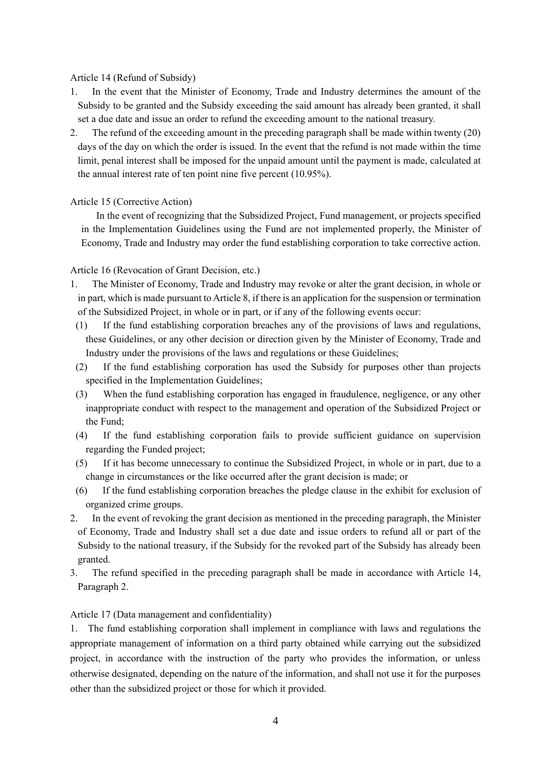### Article 14 (Refund of Subsidy)

- 1. In the event that the Minister of Economy, Trade and Industry determines the amount of the Subsidy to be granted and the Subsidy exceeding the said amount has already been granted, it shall set a due date and issue an order to refund the exceeding amount to the national treasury.
- 2. The refund of the exceeding amount in the preceding paragraph shall be made within twenty (20) days of the day on which the order is issued. In the event that the refund is not made within the time limit, penal interest shall be imposed for the unpaid amount until the payment is made, calculated at the annual interest rate of ten point nine five percent (10.95%).

## Article 15 (Corrective Action)

In the event of recognizing that the Subsidized Project, Fund management, or projects specified in the Implementation Guidelines using the Fund are not implemented properly, the Minister of Economy, Trade and Industry may order the fund establishing corporation to take corrective action.

### Article 16 (Revocation of Grant Decision, etc.)

- 1. The Minister of Economy, Trade and Industry may revoke or alter the grant decision, in whole or in part, which is made pursuant to Article 8, if there is an application for the suspension or termination of the Subsidized Project, in whole or in part, or if any of the following events occur:
- (1) If the fund establishing corporation breaches any of the provisions of laws and regulations, these Guidelines, or any other decision or direction given by the Minister of Economy, Trade and Industry under the provisions of the laws and regulations or these Guidelines;
- (2) If the fund establishing corporation has used the Subsidy for purposes other than projects specified in the Implementation Guidelines;
- (3) When the fund establishing corporation has engaged in fraudulence, negligence, or any other inappropriate conduct with respect to the management and operation of the Subsidized Project or the Fund;
- (4) If the fund establishing corporation fails to provide sufficient guidance on supervision regarding the Funded project;
- (5) If it has become unnecessary to continue the Subsidized Project, in whole or in part, due to a change in circumstances or the like occurred after the grant decision is made; or
- (6) If the fund establishing corporation breaches the pledge clause in the exhibit for exclusion of organized crime groups.
- 2. In the event of revoking the grant decision as mentioned in the preceding paragraph, the Minister of Economy, Trade and Industry shall set a due date and issue orders to refund all or part of the Subsidy to the national treasury, if the Subsidy for the revoked part of the Subsidy has already been granted.
- 3. The refund specified in the preceding paragraph shall be made in accordance with Article 14, Paragraph 2.

## Article 17 (Data management and confidentiality)

1. The fund establishing corporation shall implement in compliance with laws and regulations the appropriate management of information on a third party obtained while carrying out the subsidized project, in accordance with the instruction of the party who provides the information, or unless otherwise designated, depending on the nature of the information, and shall not use it for the purposes other than the subsidized project or those for which it provided.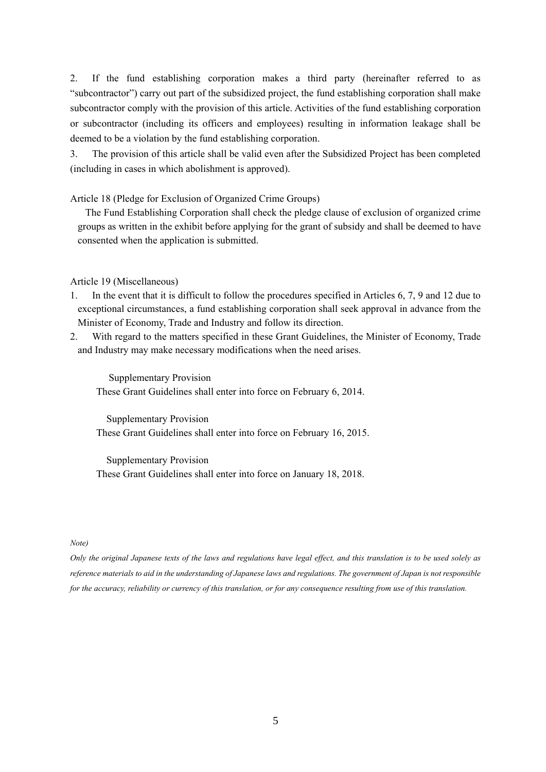2. If the fund establishing corporation makes a third party (hereinafter referred to as "subcontractor") carry out part of the subsidized project, the fund establishing corporation shall make subcontractor comply with the provision of this article. Activities of the fund establishing corporation or subcontractor (including its officers and employees) resulting in information leakage shall be deemed to be a violation by the fund establishing corporation.

3. The provision of this article shall be valid even after the Subsidized Project has been completed (including in cases in which abolishment is approved).

Article 18 (Pledge for Exclusion of Organized Crime Groups)

 The Fund Establishing Corporation shall check the pledge clause of exclusion of organized crime groups as written in the exhibit before applying for the grant of subsidy and shall be deemed to have consented when the application is submitted.

Article 19 (Miscellaneous)

- 1. In the event that it is difficult to follow the procedures specified in Articles 6, 7, 9 and 12 due to exceptional circumstances, a fund establishing corporation shall seek approval in advance from the Minister of Economy, Trade and Industry and follow its direction.
- 2. With regard to the matters specified in these Grant Guidelines, the Minister of Economy, Trade and Industry may make necessary modifications when the need arises.

Supplementary Provision These Grant Guidelines shall enter into force on February 6, 2014.

 Supplementary Provision These Grant Guidelines shall enter into force on February 16, 2015.

Supplementary Provision These Grant Guidelines shall enter into force on January 18, 2018.

#### *Note)*

*Only the original Japanese texts of the laws and regulations have legal effect, and this translation is to be used solely as reference materials to aid in the understanding of Japanese laws and regulations. The government of Japan is not responsible for the accuracy, reliability or currency of this translation, or for any consequence resulting from use of this translation.*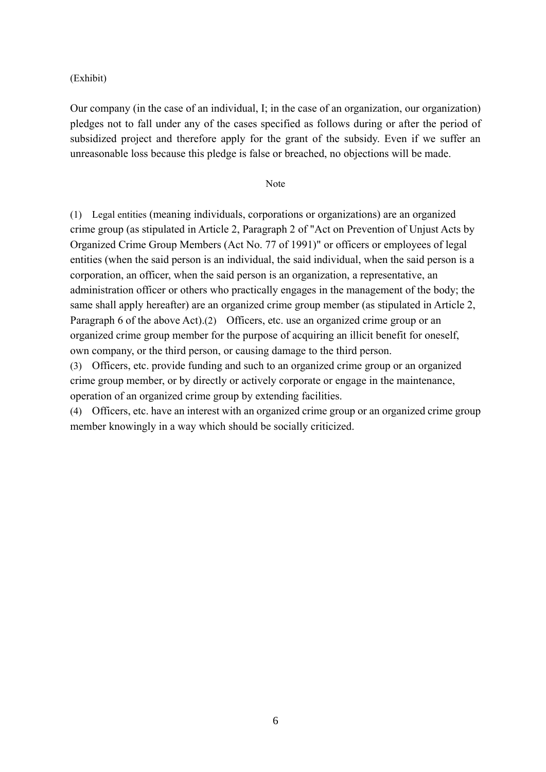(Exhibit)

Our company (in the case of an individual, I; in the case of an organization, our organization) pledges not to fall under any of the cases specified as follows during or after the period of subsidized project and therefore apply for the grant of the subsidy. Even if we suffer an unreasonable loss because this pledge is false or breached, no objections will be made.

Note

(1) Legal entities (meaning individuals, corporations or organizations) are an organized crime group (as stipulated in Article 2, Paragraph 2 of "Act on Prevention of Unjust Acts by Organized Crime Group Members (Act No. 77 of 1991)" or officers or employees of legal entities (when the said person is an individual, the said individual, when the said person is a corporation, an officer, when the said person is an organization, a representative, an administration officer or others who practically engages in the management of the body; the same shall apply hereafter) are an organized crime group member (as stipulated in Article 2, Paragraph 6 of the above Act).(2) Officers, etc. use an organized crime group or an organized crime group member for the purpose of acquiring an illicit benefit for oneself, own company, or the third person, or causing damage to the third person.

(3) Officers, etc. provide funding and such to an organized crime group or an organized crime group member, or by directly or actively corporate or engage in the maintenance, operation of an organized crime group by extending facilities.

(4) Officers, etc. have an interest with an organized crime group or an organized crime group member knowingly in a way which should be socially criticized.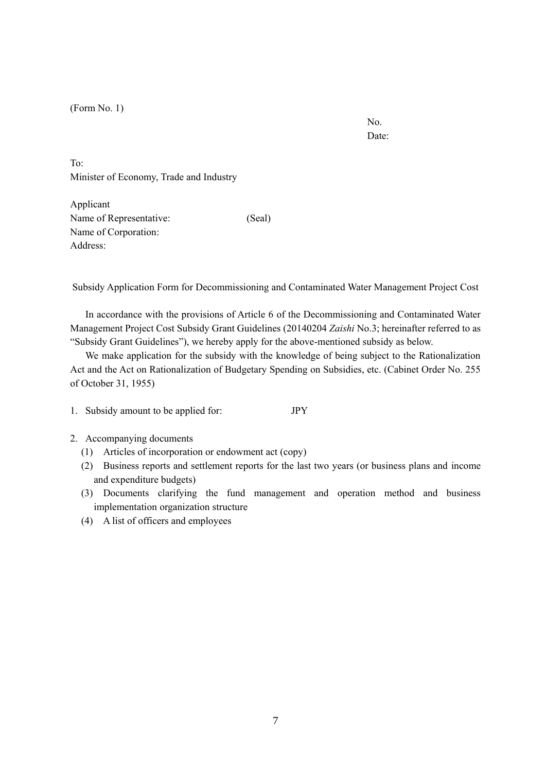(Form No. 1)

No. Date:

To: Minister of Economy, Trade and Industry

Applicant Name of Representative: (Seal) Name of Corporation: Address:

Subsidy Application Form for Decommissioning and Contaminated Water Management Project Cost

In accordance with the provisions of Article 6 of the Decommissioning and Contaminated Water Management Project Cost Subsidy Grant Guidelines (20140204 *Zaishi* No.3; hereinafter referred to as "Subsidy Grant Guidelines"), we hereby apply for the above-mentioned subsidy as below.

We make application for the subsidy with the knowledge of being subject to the Rationalization Act and the Act on Rationalization of Budgetary Spending on Subsidies, etc. (Cabinet Order No. 255 of October 31, 1955)

- 1. Subsidy amount to be applied for: JPY
- 2. Accompanying documents
	- (1) Articles of incorporation or endowment act (copy)
	- (2) Business reports and settlement reports for the last two years (or business plans and income and expenditure budgets)
	- (3) Documents clarifying the fund management and operation method and business implementation organization structure
	- (4) A list of officers and employees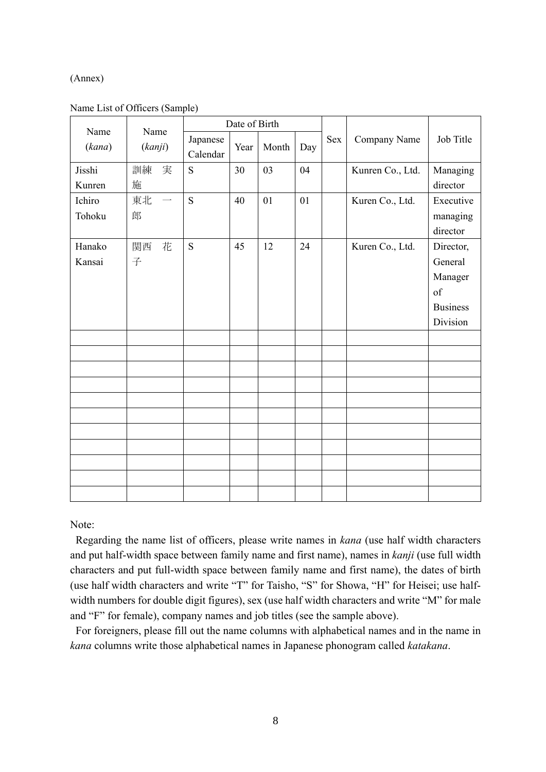### (Annex)

| Name   | Name                           | Date of Birth        |      |       |     |            |                  |                 |
|--------|--------------------------------|----------------------|------|-------|-----|------------|------------------|-----------------|
| (kana) | (kanji)                        | Japanese<br>Calendar | Year | Month | Day | <b>Sex</b> | Company Name     | Job Title       |
| Jisshi | 訓練<br>実                        | S                    | 30   | 03    | 04  |            | Kunren Co., Ltd. | Managing        |
| Kunren | 施                              |                      |      |       |     |            |                  | director        |
| Ichiro | 東北<br>$\overline{\phantom{m}}$ | S                    | 40   | 01    | 01  |            | Kuren Co., Ltd.  | Executive       |
| Tohoku | 郎                              |                      |      |       |     |            |                  | managing        |
|        |                                |                      |      |       |     |            |                  | director        |
| Hanako | 花<br>関西                        | S                    | 45   | 12    | 24  |            | Kuren Co., Ltd.  | Director,       |
| Kansai | 子                              |                      |      |       |     |            |                  | General         |
|        |                                |                      |      |       |     |            |                  | Manager         |
|        |                                |                      |      |       |     |            |                  | of              |
|        |                                |                      |      |       |     |            |                  | <b>Business</b> |
|        |                                |                      |      |       |     |            |                  | Division        |
|        |                                |                      |      |       |     |            |                  |                 |
|        |                                |                      |      |       |     |            |                  |                 |
|        |                                |                      |      |       |     |            |                  |                 |
|        |                                |                      |      |       |     |            |                  |                 |
|        |                                |                      |      |       |     |            |                  |                 |
|        |                                |                      |      |       |     |            |                  |                 |
|        |                                |                      |      |       |     |            |                  |                 |
|        |                                |                      |      |       |     |            |                  |                 |
|        |                                |                      |      |       |     |            |                  |                 |
|        |                                |                      |      |       |     |            |                  |                 |
|        |                                |                      |      |       |     |            |                  |                 |

Note:

Regarding the name list of officers, please write names in *kana* (use half width characters and put half-width space between family name and first name), names in *kanji* (use full width characters and put full-width space between family name and first name), the dates of birth (use half width characters and write "T" for Taisho, "S" for Showa, "H" for Heisei; use halfwidth numbers for double digit figures), sex (use half width characters and write "M" for male and "F" for female), company names and job titles (see the sample above).

For foreigners, please fill out the name columns with alphabetical names and in the name in *kana* columns write those alphabetical names in Japanese phonogram called *katakana*.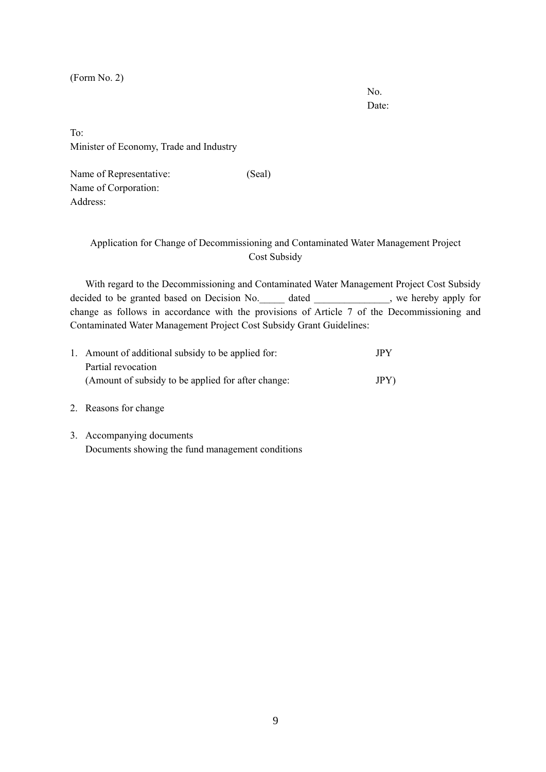(Form No. 2)

No. Date:

To: Minister of Economy, Trade and Industry

Name of Representative: (Seal) Name of Corporation: Address:

## Application for Change of Decommissioning and Contaminated Water Management Project Cost Subsidy

With regard to the Decommissioning and Contaminated Water Management Project Cost Subsidy decided to be granted based on Decision No. <br>dated extending the set of the set of the space of the set of the set of the set of the set of the set of the set of the set of the set of the set of the set of the set of the s change as follows in accordance with the provisions of Article 7 of the Decommissioning and Contaminated Water Management Project Cost Subsidy Grant Guidelines:

| 1. Amount of additional subsidy to be applied for: | <b>JPY</b> |
|----------------------------------------------------|------------|
| Partial revocation                                 |            |
| (Amount of subsidy to be applied for after change: | JPY        |

- 2. Reasons for change
- 3. Accompanying documents Documents showing the fund management conditions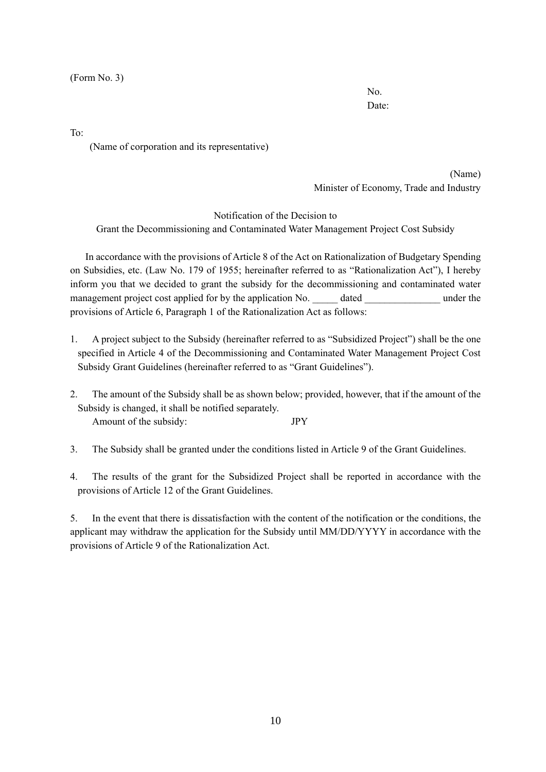(Form No. 3)

No. Date:

To:

(Name of corporation and its representative)

(Name) Minister of Economy, Trade and Industry

Notification of the Decision to Grant the Decommissioning and Contaminated Water Management Project Cost Subsidy

In accordance with the provisions of Article 8 of the Act on Rationalization of Budgetary Spending on Subsidies, etc. (Law No. 179 of 1955; hereinafter referred to as "Rationalization Act"), I hereby inform you that we decided to grant the subsidy for the decommissioning and contaminated water management project cost applied for by the application No. \_\_\_\_\_ dated \_\_\_\_\_\_\_\_\_\_ under the provisions of Article 6, Paragraph 1 of the Rationalization Act as follows:

- 1. A project subject to the Subsidy (hereinafter referred to as "Subsidized Project") shall be the one specified in Article 4 of the Decommissioning and Contaminated Water Management Project Cost Subsidy Grant Guidelines (hereinafter referred to as "Grant Guidelines").
- 2. The amount of the Subsidy shall be as shown below; provided, however, that if the amount of the Subsidy is changed, it shall be notified separately. Amount of the subsidy: JPY
- 3. The Subsidy shall be granted under the conditions listed in Article 9 of the Grant Guidelines.
- 4. The results of the grant for the Subsidized Project shall be reported in accordance with the provisions of Article 12 of the Grant Guidelines.

5. In the event that there is dissatisfaction with the content of the notification or the conditions, the applicant may withdraw the application for the Subsidy until MM/DD/YYYY in accordance with the provisions of Article 9 of the Rationalization Act.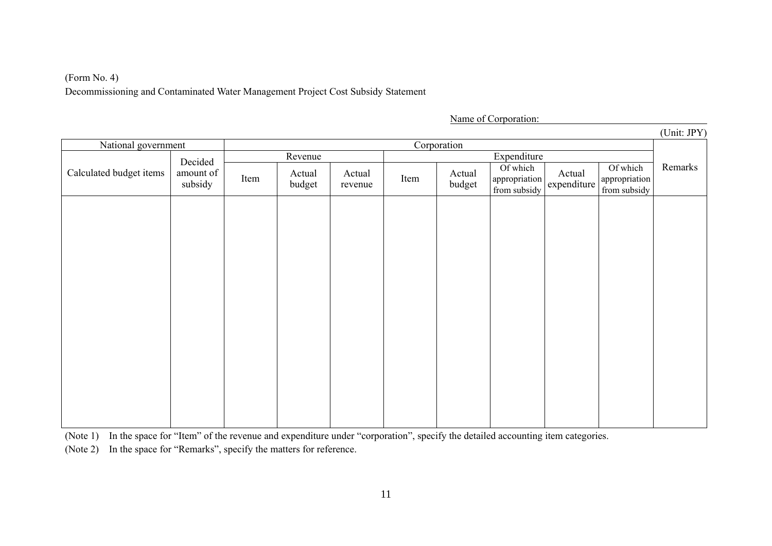# (Form No. 4) Decommissioning and Contaminated Water Management Project Cost Subsidy Statement

Name of Corporation:

|                      |         |                  |                   |      |                  |                          |        |                              | (Unit: JPY)                                  |
|----------------------|---------|------------------|-------------------|------|------------------|--------------------------|--------|------------------------------|----------------------------------------------|
| National government  |         |                  |                   |      |                  |                          |        |                              |                                              |
|                      | Revenue |                  |                   |      |                  |                          |        |                              |                                              |
| amount of<br>subsidy | Item    | Actual<br>budget | Actual<br>revenue | Item | Actual<br>budget | Of which<br>from subsidy | Actual | Of which                     | Remarks                                      |
|                      |         |                  |                   |      |                  |                          |        |                              |                                              |
|                      |         |                  |                   |      |                  |                          |        |                              |                                              |
|                      |         |                  |                   |      |                  |                          |        |                              |                                              |
|                      |         |                  |                   |      |                  |                          |        |                              |                                              |
|                      |         |                  |                   |      |                  |                          |        |                              |                                              |
|                      |         |                  |                   |      |                  |                          |        |                              |                                              |
|                      |         |                  |                   |      |                  |                          |        |                              |                                              |
|                      |         |                  |                   |      |                  |                          |        |                              |                                              |
|                      |         |                  |                   |      |                  |                          |        |                              |                                              |
|                      |         |                  |                   |      |                  |                          |        |                              |                                              |
|                      | Decided |                  |                   |      |                  | Corporation              |        | Expenditure<br>appropriation | appropriation<br>from subsidy<br>expenditure |

(Note 1) In the space for "Item" of the revenue and expenditure under "corporation", specify the detailed accounting item categories.

(Note 2) In the space for "Remarks", specify the matters for reference.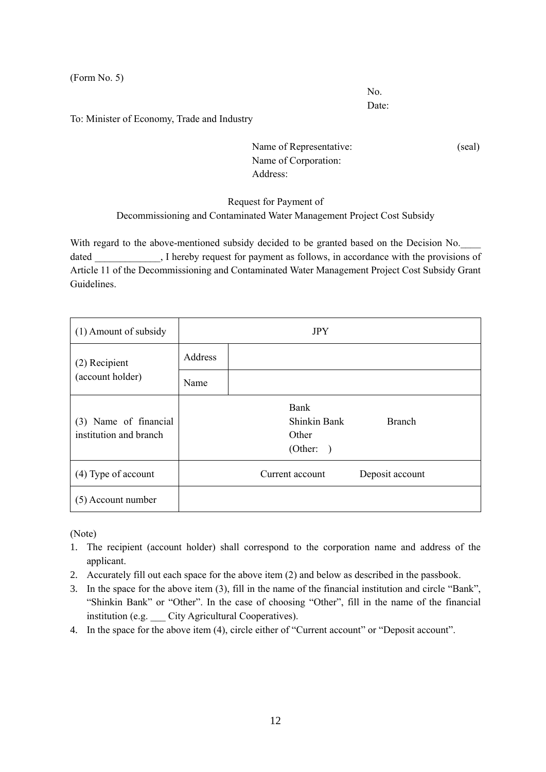(Form No. 5)

No. Date:

To: Minister of Economy, Trade and Industry

Name of Representative: (seal) Name of Corporation: Address:

# Request for Payment of Decommissioning and Contaminated Water Management Project Cost Subsidy

With regard to the above-mentioned subsidy decided to be granted based on the Decision No. dated Thereby request for payment as follows, in accordance with the provisions of Article 11 of the Decommissioning and Contaminated Water Management Project Cost Subsidy Grant Guidelines.

| (1) Amount of subsidy                           | <b>JPY</b> |                                                   |                 |  |  |  |
|-------------------------------------------------|------------|---------------------------------------------------|-----------------|--|--|--|
| (2) Recipient                                   | Address    |                                                   |                 |  |  |  |
| (account holder)                                | Name       |                                                   |                 |  |  |  |
| (3) Name of financial<br>institution and branch |            | Bank<br><b>Shinkin Bank</b><br>Other<br>(Other: ) | <b>Branch</b>   |  |  |  |
| $(4)$ Type of account                           |            | Current account                                   | Deposit account |  |  |  |
| (5) Account number                              |            |                                                   |                 |  |  |  |

(Note)

- 1. The recipient (account holder) shall correspond to the corporation name and address of the applicant.
- 2. Accurately fill out each space for the above item (2) and below as described in the passbook.
- 3. In the space for the above item (3), fill in the name of the financial institution and circle "Bank", "Shinkin Bank" or "Other". In the case of choosing "Other", fill in the name of the financial institution (e.g. City Agricultural Cooperatives).
- 4. In the space for the above item (4), circle either of "Current account" or "Deposit account".